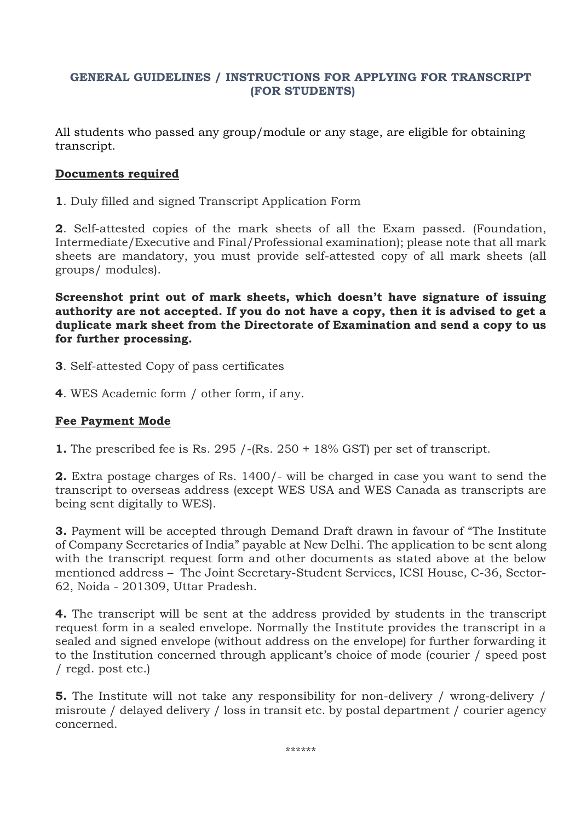# **GENERAL GUIDELINES / INSTRUCTIONS FOR APPLYING FOR TRANSCRIPT (FOR STUDENTS)**

All students who passed any group/module or any stage, are eligible for obtaining transcript.

## **Documents required**

**1**. Duly filled and signed Transcript Application Form

**2**. Self-attested copies of the mark sheets of all the Exam passed. (Foundation, Intermediate/Executive and Final/Professional examination); please note that all mark sheets are mandatory, you must provide self-attested copy of all mark sheets (all groups/ modules).

**Screenshot print out of mark sheets, which doesn't have signature of issuing authority are not accepted. If you do not have a copy, then it is advised to get a duplicate mark sheet from the Directorate of Examination and send a copy to us for further processing.** 

- **3**. Self-attested Copy of pass certificates
- **4**. WES Academic form / other form, if any.

### **Fee Payment Mode**

**1.** The prescribed fee is Rs. 295 /-(Rs. 250 + 18% GST) per set of transcript.

**2.** Extra postage charges of Rs. 1400/- will be charged in case you want to send the transcript to overseas address (except WES USA and WES Canada as transcripts are being sent digitally to WES).

**3.** Payment will be accepted through Demand Draft drawn in favour of "The Institute of Company Secretaries of India" payable at New Delhi. The application to be sent along with the transcript request form and other documents as stated above at the below mentioned address – The Joint Secretary-Student Services, ICSI House, C-36, Sector-62, Noida - 201309, Uttar Pradesh.

**4.** The transcript will be sent at the address provided by students in the transcript request form in a sealed envelope. Normally the Institute provides the transcript in a sealed and signed envelope (without address on the envelope) for further forwarding it to the Institution concerned through applicant's choice of mode (courier / speed post / regd. post etc.)

**5.** The Institute will not take any responsibility for non-delivery / wrong-delivery / misroute / delayed delivery / loss in transit etc. by postal department / courier agency concerned.

\*\*\*\*\*\*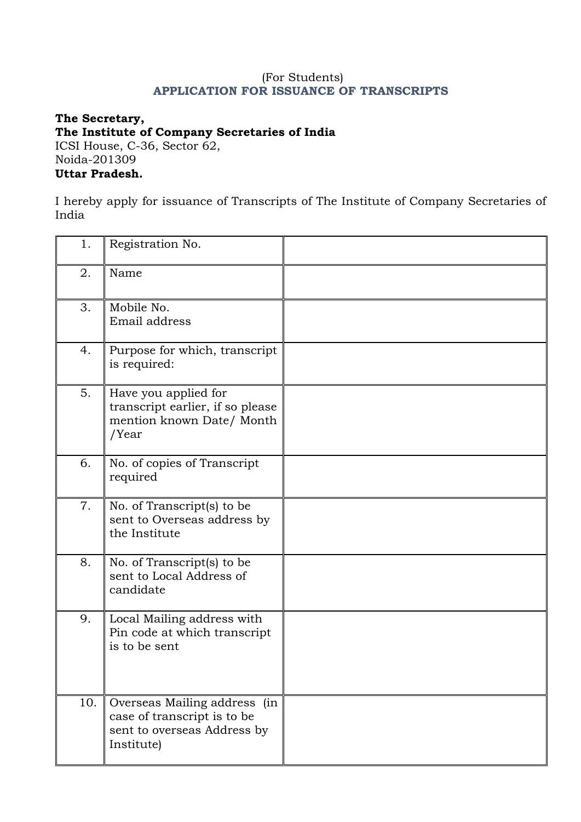### (For Students) **APPLICATION FOR ISSUANCE OF TRANSCRIPTS**

### **The Secretary, The Institute of Company Secretaries of India**  ICSI House, C-36, Sector 62, Noida-201309 **Uttar Pradesh.**

I hereby apply for issuance of Transcripts of The Institute of Company Secretaries of India

| 1.  | Registration No.                                                                                         |  |
|-----|----------------------------------------------------------------------------------------------------------|--|
| 2.  | Name                                                                                                     |  |
| 3.  | Mobile No.<br>Email address                                                                              |  |
| 4.  | Purpose for which, transcript<br>is required:                                                            |  |
| 5.  | Have you applied for<br>transcript earlier, if so please<br>mention known Date/ Month<br>/Year           |  |
| 6.  | No. of copies of Transcript<br>required                                                                  |  |
| 7.  | No. of Transcript(s) to be<br>sent to Overseas address by<br>the Institute                               |  |
| 8.  | No. of Transcript(s) to be<br>sent to Local Address of<br>candidate                                      |  |
| 9.  | Local Mailing address with<br>Pin code at which transcript<br>is to be sent                              |  |
| 10. | Overseas Mailing address (in<br>case of transcript is to be<br>sent to overseas Address by<br>Institute) |  |